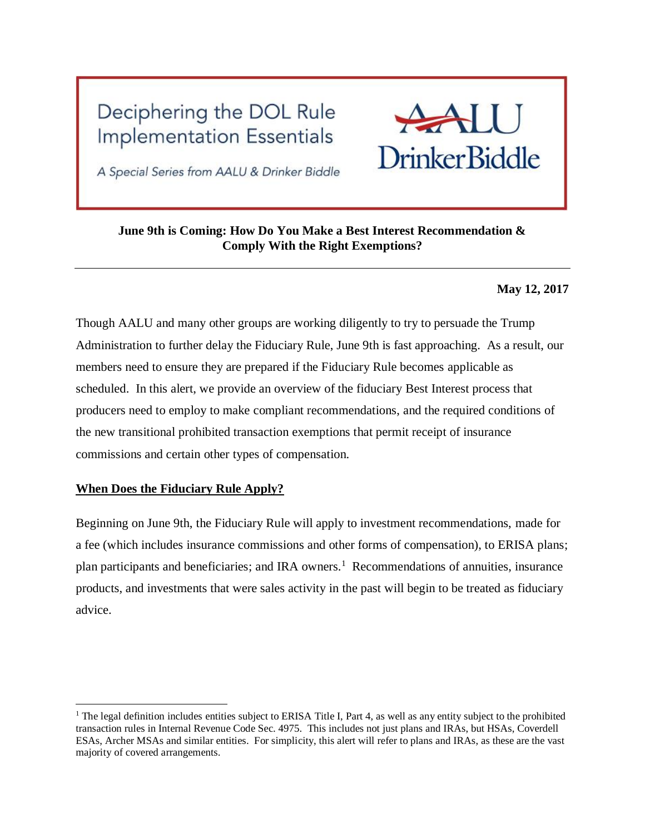# Deciphering the DOL Rule **Implementation Essentials**



A Special Series from AALU & Drinker Biddle

# **June 9th is Coming: How Do You Make a Best Interest Recommendation & Comply With the Right Exemptions?**

## **May 12, 2017**

Though AALU and many other groups are working diligently to try to persuade the Trump Administration to further delay the Fiduciary Rule, June 9th is fast approaching. As a result, our members need to ensure they are prepared if the Fiduciary Rule becomes applicable as scheduled. In this alert, we provide an overview of the fiduciary Best Interest process that producers need to employ to make compliant recommendations, and the required conditions of the new transitional prohibited transaction exemptions that permit receipt of insurance commissions and certain other types of compensation.

## **When Does the Fiduciary Rule Apply?**

 $\overline{a}$ 

Beginning on June 9th, the Fiduciary Rule will apply to investment recommendations, made for a fee (which includes insurance commissions and other forms of compensation), to ERISA plans; plan participants and beneficiaries; and IRA owners.<sup>1</sup> Recommendations of annuities, insurance products, and investments that were sales activity in the past will begin to be treated as fiduciary advice.

<sup>&</sup>lt;sup>1</sup> The legal definition includes entities subject to ERISA Title I, Part 4, as well as any entity subject to the prohibited transaction rules in Internal Revenue Code Sec. 4975. This includes not just plans and IRAs, but HSAs, Coverdell ESAs, Archer MSAs and similar entities. For simplicity, this alert will refer to plans and IRAs, as these are the vast majority of covered arrangements.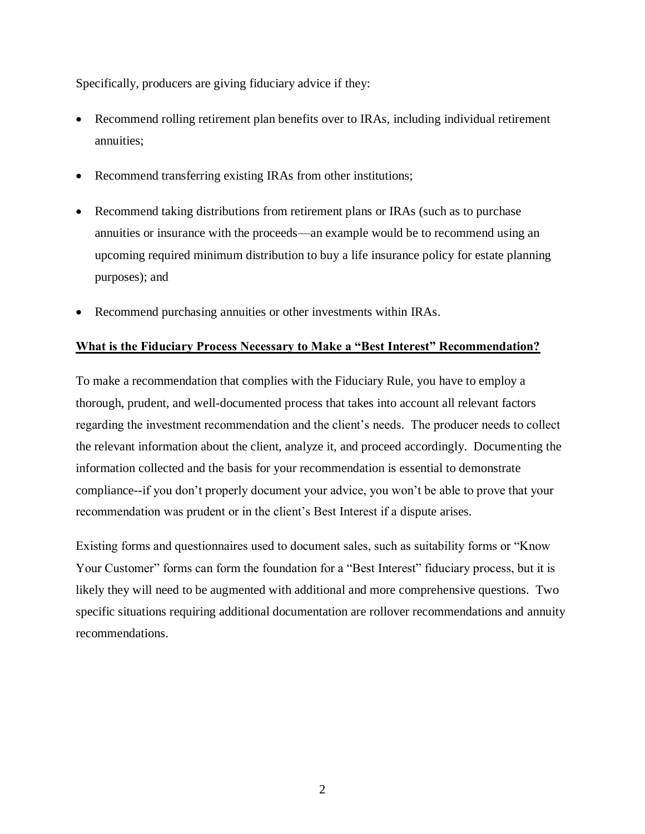Specifically, producers are giving fiduciary advice if they:

- Recommend rolling retirement plan benefits over to IRAs, including individual retirement annuities;
- Recommend transferring existing IRAs from other institutions;
- Recommend taking distributions from retirement plans or IRAs (such as to purchase annuities or insurance with the proceeds—an example would be to recommend using an upcoming required minimum distribution to buy a life insurance policy for estate planning purposes); and
- Recommend purchasing annuities or other investments within IRAs.

## **What is the Fiduciary Process Necessary to Make a "Best Interest" Recommendation?**

To make a recommendation that complies with the Fiduciary Rule, you have to employ a thorough, prudent, and well-documented process that takes into account all relevant factors regarding the investment recommendation and the client's needs. The producer needs to collect the relevant information about the client, analyze it, and proceed accordingly. Documenting the information collected and the basis for your recommendation is essential to demonstrate compliance--if you don't properly document your advice, you won't be able to prove that your recommendation was prudent or in the client's Best Interest if a dispute arises.

Existing forms and questionnaires used to document sales, such as suitability forms or "Know Your Customer" forms can form the foundation for a "Best Interest" fiduciary process, but it is likely they will need to be augmented with additional and more comprehensive questions. Two specific situations requiring additional documentation are rollover recommendations and annuity recommendations.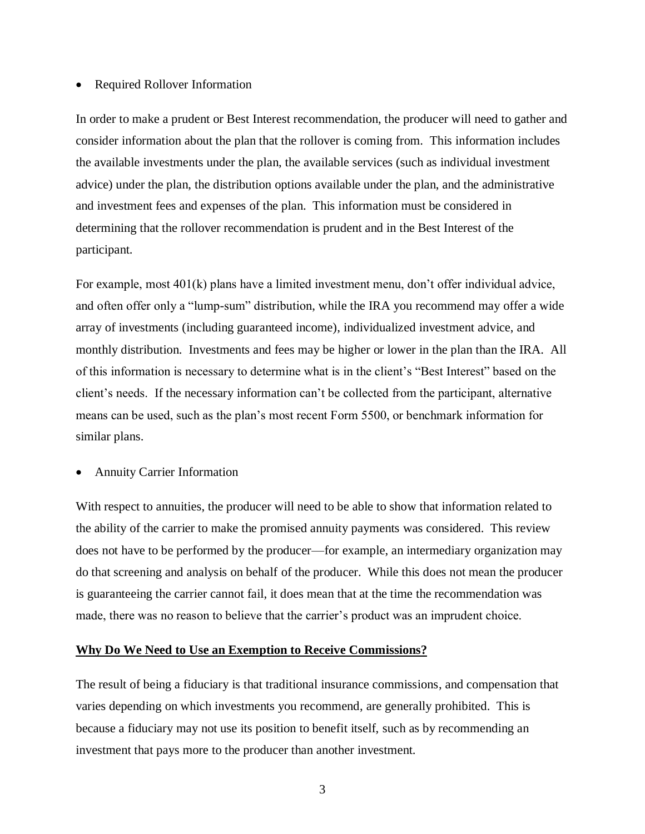#### • Required Rollover Information

In order to make a prudent or Best Interest recommendation, the producer will need to gather and consider information about the plan that the rollover is coming from. This information includes the available investments under the plan, the available services (such as individual investment advice) under the plan, the distribution options available under the plan, and the administrative and investment fees and expenses of the plan. This information must be considered in determining that the rollover recommendation is prudent and in the Best Interest of the participant.

For example, most 401(k) plans have a limited investment menu, don't offer individual advice, and often offer only a "lump-sum" distribution, while the IRA you recommend may offer a wide array of investments (including guaranteed income), individualized investment advice, and monthly distribution. Investments and fees may be higher or lower in the plan than the IRA. All of this information is necessary to determine what is in the client's "Best Interest" based on the client's needs. If the necessary information can't be collected from the participant, alternative means can be used, such as the plan's most recent Form 5500, or benchmark information for similar plans.

#### • Annuity Carrier Information

With respect to annuities, the producer will need to be able to show that information related to the ability of the carrier to make the promised annuity payments was considered. This review does not have to be performed by the producer—for example, an intermediary organization may do that screening and analysis on behalf of the producer. While this does not mean the producer is guaranteeing the carrier cannot fail, it does mean that at the time the recommendation was made, there was no reason to believe that the carrier's product was an imprudent choice.

#### **Why Do We Need to Use an Exemption to Receive Commissions?**

The result of being a fiduciary is that traditional insurance commissions, and compensation that varies depending on which investments you recommend, are generally prohibited. This is because a fiduciary may not use its position to benefit itself, such as by recommending an investment that pays more to the producer than another investment.

3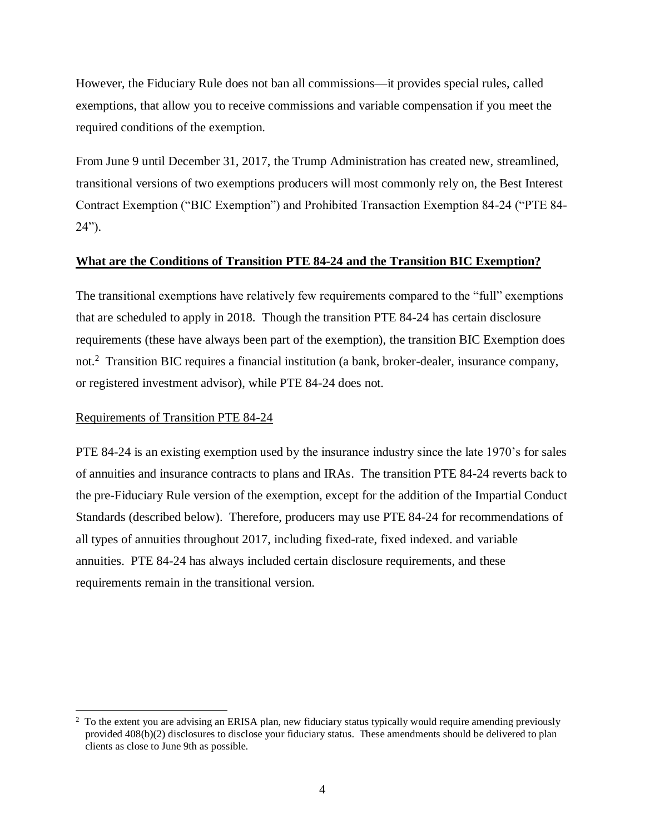However, the Fiduciary Rule does not ban all commissions—it provides special rules, called exemptions, that allow you to receive commissions and variable compensation if you meet the required conditions of the exemption.

From June 9 until December 31, 2017, the Trump Administration has created new, streamlined, transitional versions of two exemptions producers will most commonly rely on, the Best Interest Contract Exemption ("BIC Exemption") and Prohibited Transaction Exemption 84-24 ("PTE 84- 24").

## **What are the Conditions of Transition PTE 84-24 and the Transition BIC Exemption?**

The transitional exemptions have relatively few requirements compared to the "full" exemptions that are scheduled to apply in 2018. Though the transition PTE 84-24 has certain disclosure requirements (these have always been part of the exemption), the transition BIC Exemption does not.<sup>2</sup> Transition BIC requires a financial institution (a bank, broker-dealer, insurance company, or registered investment advisor), while PTE 84-24 does not.

## Requirements of Transition PTE 84-24

 $\overline{a}$ 

PTE 84-24 is an existing exemption used by the insurance industry since the late 1970's for sales of annuities and insurance contracts to plans and IRAs. The transition PTE 84-24 reverts back to the pre-Fiduciary Rule version of the exemption, except for the addition of the Impartial Conduct Standards (described below). Therefore, producers may use PTE 84-24 for recommendations of all types of annuities throughout 2017, including fixed-rate, fixed indexed. and variable annuities. PTE 84-24 has always included certain disclosure requirements, and these requirements remain in the transitional version.

<sup>&</sup>lt;sup>2</sup> To the extent you are advising an ERISA plan, new fiduciary status typically would require amending previously provided 408(b)(2) disclosures to disclose your fiduciary status. These amendments should be delivered to plan clients as close to June 9th as possible.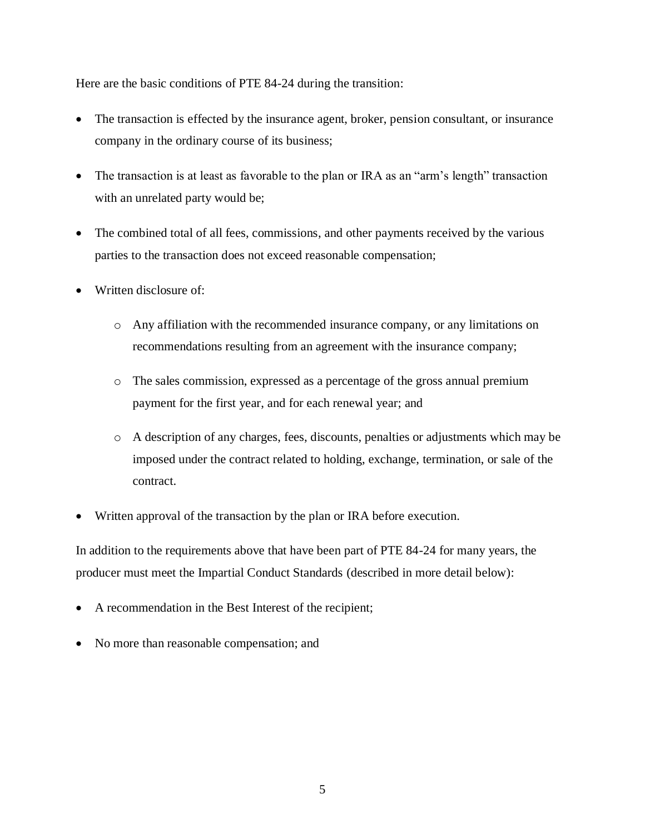Here are the basic conditions of PTE 84-24 during the transition:

- The transaction is effected by the insurance agent, broker, pension consultant, or insurance company in the ordinary course of its business;
- The transaction is at least as favorable to the plan or IRA as an "arm's length" transaction with an unrelated party would be;
- The combined total of all fees, commissions, and other payments received by the various parties to the transaction does not exceed reasonable compensation;
- Written disclosure of:
	- o Any affiliation with the recommended insurance company, or any limitations on recommendations resulting from an agreement with the insurance company;
	- o The sales commission, expressed as a percentage of the gross annual premium payment for the first year, and for each renewal year; and
	- o A description of any charges, fees, discounts, penalties or adjustments which may be imposed under the contract related to holding, exchange, termination, or sale of the contract.
- Written approval of the transaction by the plan or IRA before execution.

In addition to the requirements above that have been part of PTE 84-24 for many years, the producer must meet the Impartial Conduct Standards (described in more detail below):

- A recommendation in the Best Interest of the recipient;
- No more than reasonable compensation; and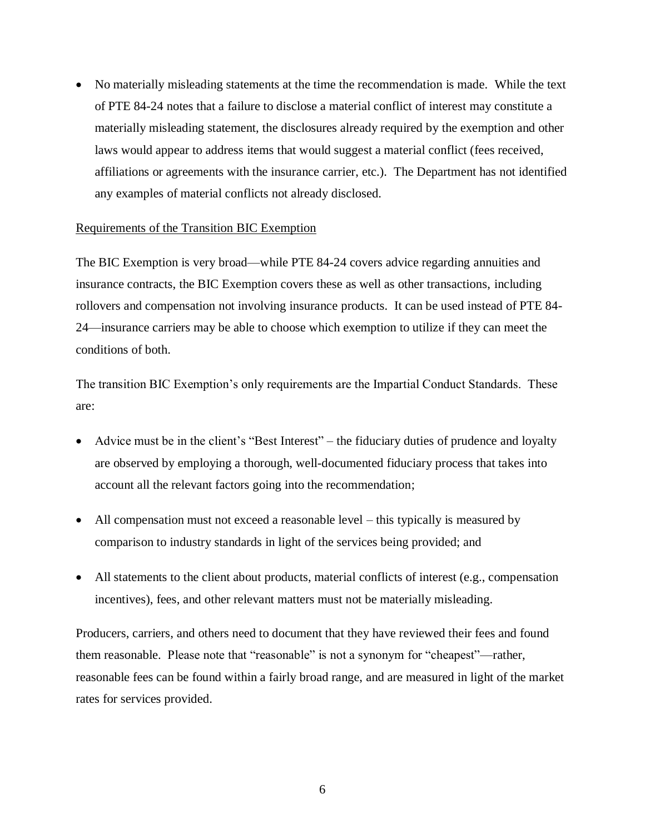• No materially misleading statements at the time the recommendation is made. While the text of PTE 84-24 notes that a failure to disclose a material conflict of interest may constitute a materially misleading statement, the disclosures already required by the exemption and other laws would appear to address items that would suggest a material conflict (fees received, affiliations or agreements with the insurance carrier, etc.). The Department has not identified any examples of material conflicts not already disclosed.

#### Requirements of the Transition BIC Exemption

The BIC Exemption is very broad—while PTE 84-24 covers advice regarding annuities and insurance contracts, the BIC Exemption covers these as well as other transactions, including rollovers and compensation not involving insurance products. It can be used instead of PTE 84- 24—insurance carriers may be able to choose which exemption to utilize if they can meet the conditions of both.

The transition BIC Exemption's only requirements are the Impartial Conduct Standards. These are:

- Advice must be in the client's "Best Interest" the fiduciary duties of prudence and loyalty are observed by employing a thorough, well-documented fiduciary process that takes into account all the relevant factors going into the recommendation;
- All compensation must not exceed a reasonable level this typically is measured by comparison to industry standards in light of the services being provided; and
- All statements to the client about products, material conflicts of interest (e.g., compensation incentives), fees, and other relevant matters must not be materially misleading.

Producers, carriers, and others need to document that they have reviewed their fees and found them reasonable. Please note that "reasonable" is not a synonym for "cheapest"—rather, reasonable fees can be found within a fairly broad range, and are measured in light of the market rates for services provided.